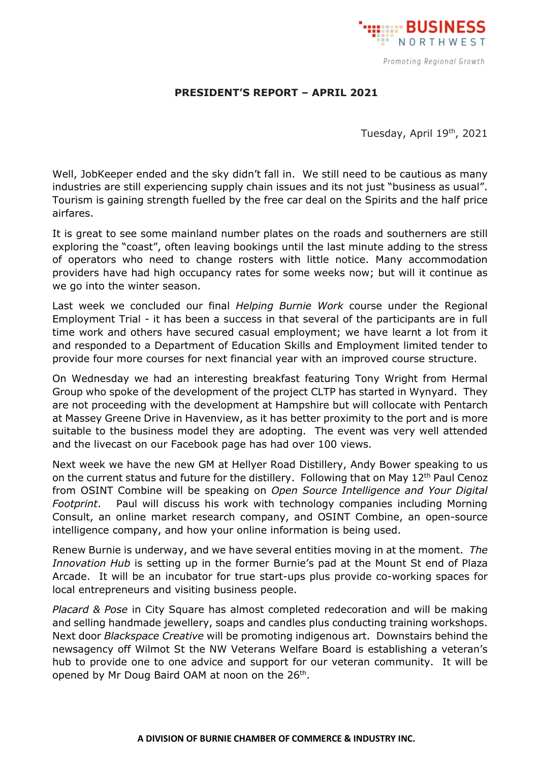

## **PRESIDENT'S REPORT – APRIL 2021**

Tuesday, April 19th, 2021

Well, JobKeeper ended and the sky didn't fall in. We still need to be cautious as many industries are still experiencing supply chain issues and its not just "business as usual". Tourism is gaining strength fuelled by the free car deal on the Spirits and the half price airfares.

It is great to see some mainland number plates on the roads and southerners are still exploring the "coast", often leaving bookings until the last minute adding to the stress of operators who need to change rosters with little notice. Many accommodation providers have had high occupancy rates for some weeks now; but will it continue as we go into the winter season.

Last week we concluded our final *Helping Burnie Work* course under the Regional Employment Trial - it has been a success in that several of the participants are in full time work and others have secured casual employment; we have learnt a lot from it and responded to a Department of Education Skills and Employment limited tender to provide four more courses for next financial year with an improved course structure.

On Wednesday we had an interesting breakfast featuring Tony Wright from Hermal Group who spoke of the development of the project CLTP has started in Wynyard. They are not proceeding with the development at Hampshire but will collocate with Pentarch at Massey Greene Drive in Havenview, as it has better proximity to the port and is more suitable to the business model they are adopting. The event was very well attended and the livecast on our Facebook page has had over 100 views.

Next week we have the new GM at Hellyer Road Distillery, Andy Bower speaking to us on the current status and future for the distillery. Following that on May 12<sup>th</sup> Paul Cenoz from OSINT Combine will be speaking on *Open Source Intelligence and Your Digital Footprint*. Paul will discuss his work with technology companies including Morning Consult, an online market research company, and OSINT Combine, an open-source intelligence company, and how your online information is being used.

Renew Burnie is underway, and we have several entities moving in at the moment. *The Innovation Hub* is setting up in the former Burnie's pad at the Mount St end of Plaza Arcade. It will be an incubator for true start-ups plus provide co-working spaces for local entrepreneurs and visiting business people.

*Placard & Pose* in City Square has almost completed redecoration and will be making and selling handmade jewellery, soaps and candles plus conducting training workshops. Next door *Blackspace Creative* will be promoting indigenous art. Downstairs behind the newsagency off Wilmot St the NW Veterans Welfare Board is establishing a veteran's hub to provide one to one advice and support for our veteran community. It will be opened by Mr Doug Baird OAM at noon on the 26<sup>th</sup>.